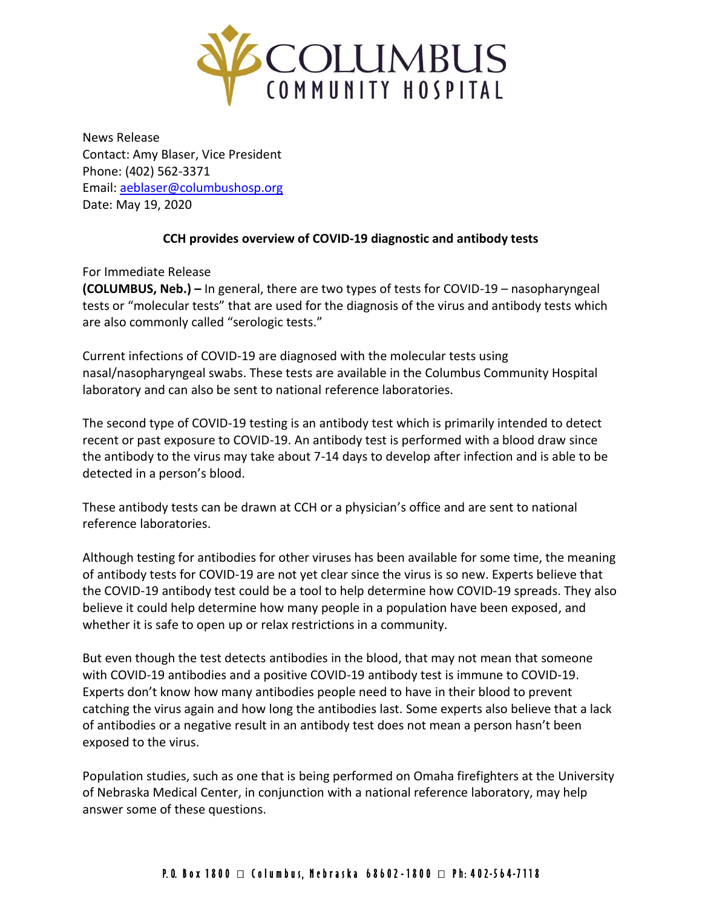

News Release Contact: Amy Blaser, Vice President Phone: (402) 562-3371 Email: [aeblaser@columbushosp.org](mailto:aeblaser@columbushosp.org) Date: May 19, 2020

## **CCH provides overview of COVID-19 diagnostic and antibody tests**

For Immediate Release

**(COLUMBUS, Neb.) –** In general, there are two types of tests for COVID-19 – nasopharyngeal tests or "molecular tests" that are used for the diagnosis of the virus and antibody tests which are also commonly called "serologic tests."

Current infections of COVID-19 are diagnosed with the molecular tests using nasal/nasopharyngeal swabs. These tests are available in the Columbus Community Hospital laboratory and can also be sent to national reference laboratories.

The second type of COVID-19 testing is an antibody test which is primarily intended to detect recent or past exposure to COVID-19. An antibody test is performed with a blood draw since the antibody to the virus may take about 7-14 days to develop after infection and is able to be detected in a person's blood.

These antibody tests can be drawn at CCH or a physician's office and are sent to national reference laboratories.

Although testing for antibodies for other viruses has been available for some time, the meaning of antibody tests for COVID-19 are not yet clear since the virus is so new. Experts believe that the COVID-19 antibody test could be a tool to help determine how COVID-19 spreads. They also believe it could help determine how many people in a population have been exposed, and whether it is safe to open up or relax restrictions in a community.

But even though the test detects antibodies in the blood, that may not mean that someone with COVID-19 antibodies and a positive COVID-19 antibody test is immune to COVID-19. Experts don't know how many antibodies people need to have in their blood to prevent catching the virus again and how long the antibodies last. Some experts also believe that a lack of antibodies or a negative result in an antibody test does not mean a person hasn't been exposed to the virus.

Population studies, such as one that is being performed on Omaha firefighters at the University of Nebraska Medical Center, in conjunction with a national reference laboratory, may help answer some of these questions.